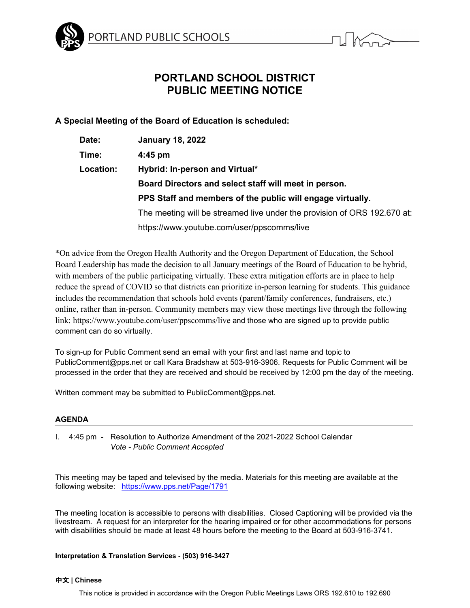



# **PORTLAND SCHOOL DISTRICT PUBLIC MEETING NOTICE**

**A Special Meeting of the Board of Education is scheduled:**

| Date:     | <b>January 18, 2022</b>                                                  |
|-----------|--------------------------------------------------------------------------|
| Time:     | $4:45$ pm                                                                |
| Location: | Hybrid: In-person and Virtual*                                           |
|           | Board Directors and select staff will meet in person.                    |
|           | PPS Staff and members of the public will engage virtually.               |
|           | The meeting will be streamed live under the provision of ORS 192.670 at: |
|           | https://www.youtube.com/user/ppscomms/live                               |

\*On advice from the Oregon Health Authority and the Oregon Department of Education, the School Board Leadership has made the decision to all January meetings of the Board of Education to be hybrid, with members of the public participating virtually. These extra mitigation efforts are in place to help reduce the spread of COVID so that districts can prioritize in-person learning for students. This guidance includes the recommendation that schools hold events (parent/family conferences, fundraisers, etc.) online, rather than in-person. Community members may view those meetings live through the following link: https://www.youtube.com/user/ppscomms/live and those who are signed up to provide public comment can do so virtually.

To sign-up for Public Comment send an email with your first and last name and topic to PublicComment@pps.net or call Kara Bradshaw at 503-916-3906. Requests for Public Comment will be processed in the order that they are received and should be received by 12:00 pm the day of the meeting.

Written comment may be submitted to PublicComment@pps.net.

## **AGENDA**

I. 4:45 pm - Resolution to Authorize Amendment of the 2021-2022 School Calendar *Vote - Public Comment Accepted*

This meeting may be taped and televised by the media. Materials for this meeting are available at the following website: <https://www.pps.net/Page/1791>

The meeting location is accessible to persons with disabilities. Closed Captioning will be provided via the livestream. A request for an interpreter for the hearing impaired or for other accommodations for persons with disabilities should be made at least 48 hours before the meeting to the Board at 503-916-3741.

## **Interpretation & Translation Services - (503) 916-3427**

### 中文 **| Chinese**

This notice is provided in accordance with the Oregon Public Meetings Laws ORS 192.610 to 192.690